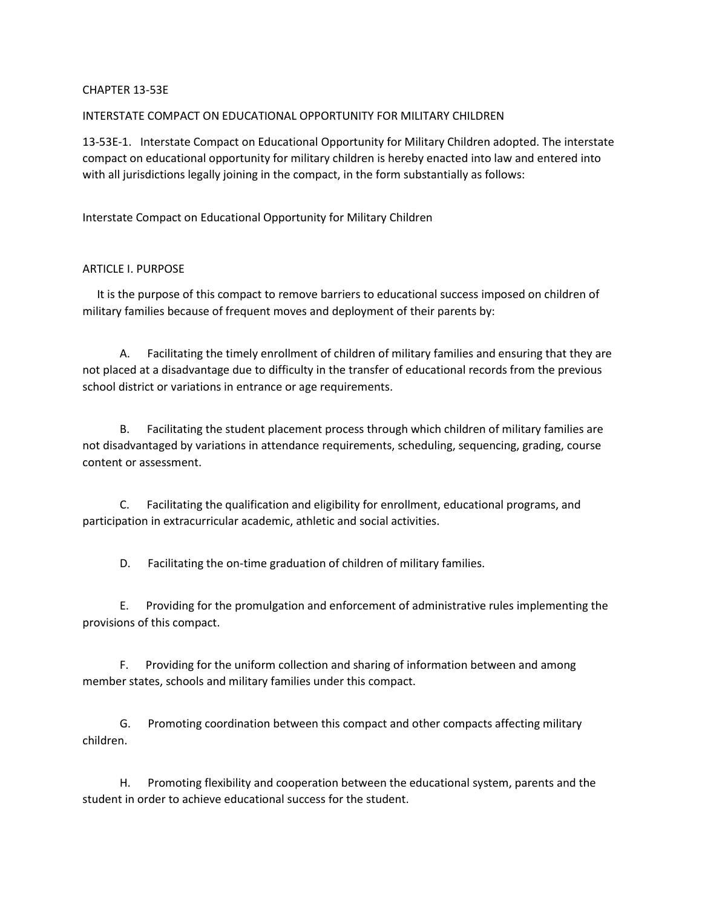## CHAPTER 13-53E

## INTERSTATE COMPACT ON EDUCATIONAL OPPORTUNITY FOR MILITARY CHILDREN

13-53E-1. Interstate Compact on Educational Opportunity for Military Children adopted. The interstate compact on educational opportunity for military children is hereby enacted into law and entered into with all jurisdictions legally joining in the compact, in the form substantially as follows:

Interstate Compact on Educational Opportunity for Military Children

## ARTICLE I. PURPOSE

 It is the purpose of this compact to remove barriers to educational success imposed on children of military families because of frequent moves and deployment of their parents by:

 A. Facilitating the timely enrollment of children of military families and ensuring that they are not placed at a disadvantage due to difficulty in the transfer of educational records from the previous school district or variations in entrance or age requirements.

 B. Facilitating the student placement process through which children of military families are not disadvantaged by variations in attendance requirements, scheduling, sequencing, grading, course content or assessment.

 C. Facilitating the qualification and eligibility for enrollment, educational programs, and participation in extracurricular academic, athletic and social activities.

D. Facilitating the on-time graduation of children of military families.

 E. Providing for the promulgation and enforcement of administrative rules implementing the provisions of this compact.

 F. Providing for the uniform collection and sharing of information between and among member states, schools and military families under this compact.

 G. Promoting coordination between this compact and other compacts affecting military children.

 H. Promoting flexibility and cooperation between the educational system, parents and the student in order to achieve educational success for the student.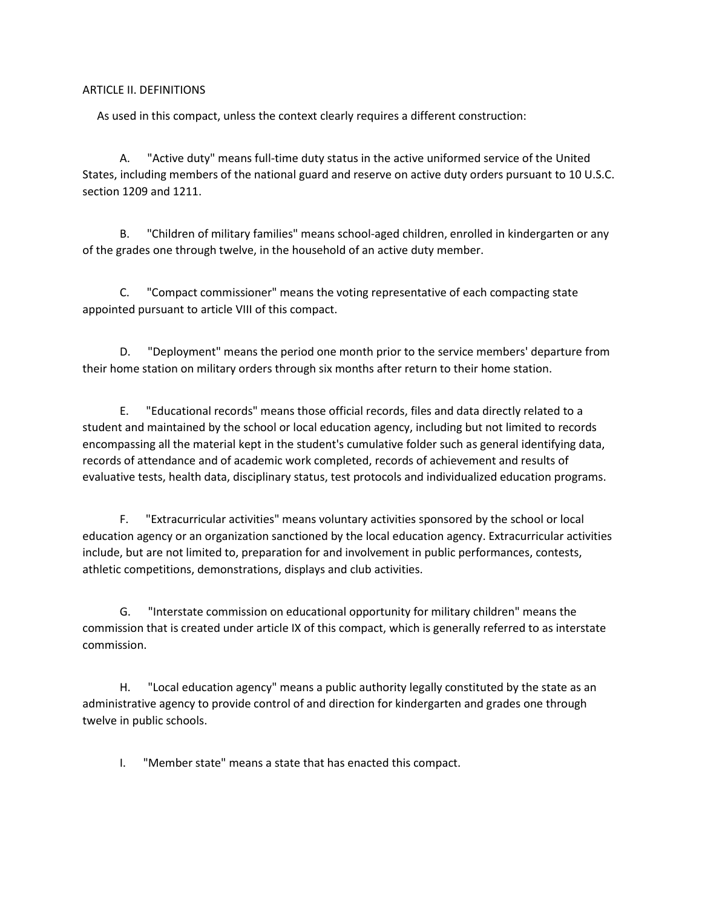## ARTICLE II. DEFINITIONS

As used in this compact, unless the context clearly requires a different construction:

 A. "Active duty" means full-time duty status in the active uniformed service of the United States, including members of the national guard and reserve on active duty orders pursuant to 10 U.S.C. section 1209 and 1211.

 B. "Children of military families" means school-aged children, enrolled in kindergarten or any of the grades one through twelve, in the household of an active duty member.

 C. "Compact commissioner" means the voting representative of each compacting state appointed pursuant to article VIII of this compact.

 D. "Deployment" means the period one month prior to the service members' departure from their home station on military orders through six months after return to their home station.

 E. "Educational records" means those official records, files and data directly related to a student and maintained by the school or local education agency, including but not limited to records encompassing all the material kept in the student's cumulative folder such as general identifying data, records of attendance and of academic work completed, records of achievement and results of evaluative tests, health data, disciplinary status, test protocols and individualized education programs.

 F. "Extracurricular activities" means voluntary activities sponsored by the school or local education agency or an organization sanctioned by the local education agency. Extracurricular activities include, but are not limited to, preparation for and involvement in public performances, contests, athletic competitions, demonstrations, displays and club activities.

 G. "Interstate commission on educational opportunity for military children" means the commission that is created under article IX of this compact, which is generally referred to as interstate commission.

 H. "Local education agency" means a public authority legally constituted by the state as an administrative agency to provide control of and direction for kindergarten and grades one through twelve in public schools.

I. "Member state" means a state that has enacted this compact.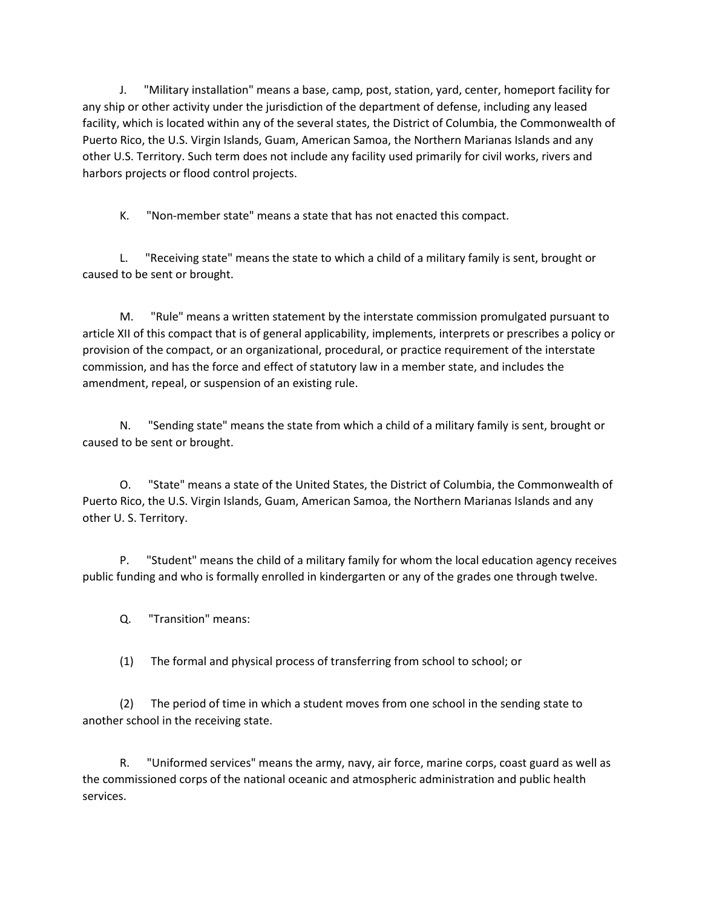J. "Military installation" means a base, camp, post, station, yard, center, homeport facility for any ship or other activity under the jurisdiction of the department of defense, including any leased facility, which is located within any of the several states, the District of Columbia, the Commonwealth of Puerto Rico, the U.S. Virgin Islands, Guam, American Samoa, the Northern Marianas Islands and any other U.S. Territory. Such term does not include any facility used primarily for civil works, rivers and harbors projects or flood control projects.

K. "Non-member state" means a state that has not enacted this compact.

 L. "Receiving state" means the state to which a child of a military family is sent, brought or caused to be sent or brought.

 M. "Rule" means a written statement by the interstate commission promulgated pursuant to article XII of this compact that is of general applicability, implements, interprets or prescribes a policy or provision of the compact, or an organizational, procedural, or practice requirement of the interstate commission, and has the force and effect of statutory law in a member state, and includes the amendment, repeal, or suspension of an existing rule.

 N. "Sending state" means the state from which a child of a military family is sent, brought or caused to be sent or brought.

 O. "State" means a state of the United States, the District of Columbia, the Commonwealth of Puerto Rico, the U.S. Virgin Islands, Guam, American Samoa, the Northern Marianas Islands and any other U. S. Territory.

 P. "Student" means the child of a military family for whom the local education agency receives public funding and who is formally enrolled in kindergarten or any of the grades one through twelve.

Q. "Transition" means:

(1) The formal and physical process of transferring from school to school; or

 (2) The period of time in which a student moves from one school in the sending state to another school in the receiving state.

 R. "Uniformed services" means the army, navy, air force, marine corps, coast guard as well as the commissioned corps of the national oceanic and atmospheric administration and public health services.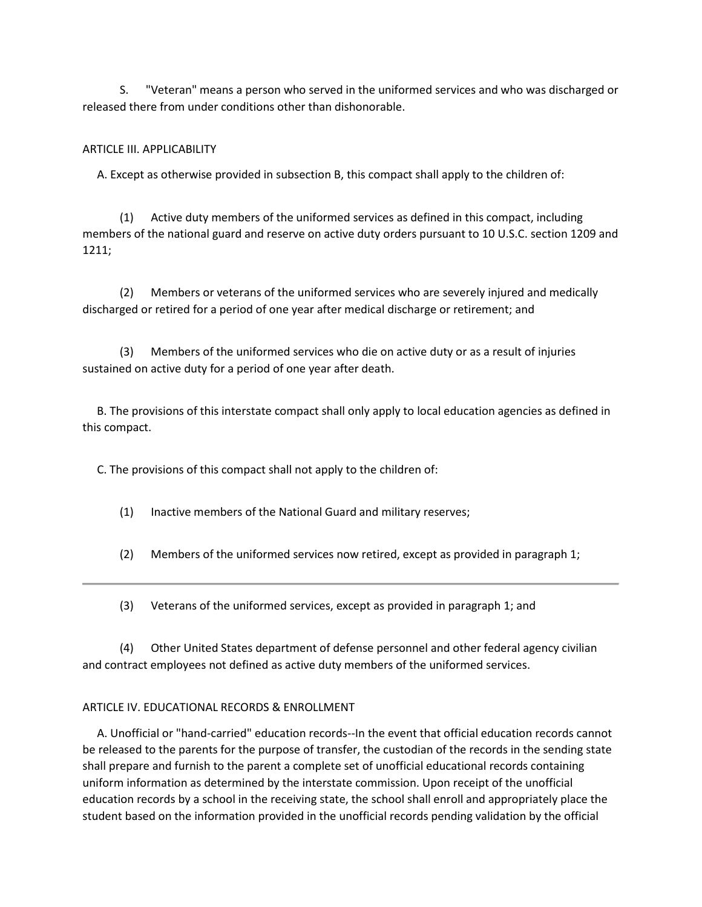S. "Veteran" means a person who served in the uniformed services and who was discharged or released there from under conditions other than dishonorable.

# ARTICLE III. APPLICABILITY

A. Except as otherwise provided in subsection B, this compact shall apply to the children of:

 (1) Active duty members of the uniformed services as defined in this compact, including members of the national guard and reserve on active duty orders pursuant to 10 U.S.C. section 1209 and 1211;

 (2) Members or veterans of the uniformed services who are severely injured and medically discharged or retired for a period of one year after medical discharge or retirement; and

 (3) Members of the uniformed services who die on active duty or as a result of injuries sustained on active duty for a period of one year after death.

 B. The provisions of this interstate compact shall only apply to local education agencies as defined in this compact.

C. The provisions of this compact shall not apply to the children of:

(1) Inactive members of the National Guard and military reserves;

(2) Members of the uniformed services now retired, except as provided in paragraph 1;

(3) Veterans of the uniformed services, except as provided in paragraph 1; and

 (4) Other United States department of defense personnel and other federal agency civilian and contract employees not defined as active duty members of the uniformed services.

## ARTICLE IV. EDUCATIONAL RECORDS & ENROLLMENT

 A. Unofficial or "hand-carried" education records--In the event that official education records cannot be released to the parents for the purpose of transfer, the custodian of the records in the sending state shall prepare and furnish to the parent a complete set of unofficial educational records containing uniform information as determined by the interstate commission. Upon receipt of the unofficial education records by a school in the receiving state, the school shall enroll and appropriately place the student based on the information provided in the unofficial records pending validation by the official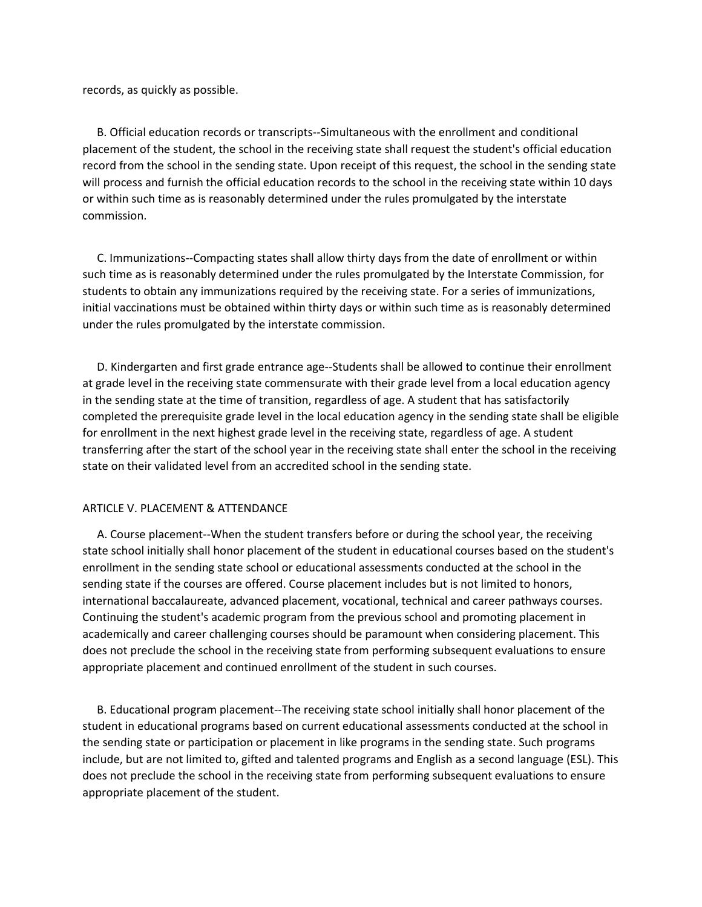records, as quickly as possible.

 B. Official education records or transcripts--Simultaneous with the enrollment and conditional placement of the student, the school in the receiving state shall request the student's official education record from the school in the sending state. Upon receipt of this request, the school in the sending state will process and furnish the official education records to the school in the receiving state within 10 days or within such time as is reasonably determined under the rules promulgated by the interstate commission.

 C. Immunizations--Compacting states shall allow thirty days from the date of enrollment or within such time as is reasonably determined under the rules promulgated by the Interstate Commission, for students to obtain any immunizations required by the receiving state. For a series of immunizations, initial vaccinations must be obtained within thirty days or within such time as is reasonably determined under the rules promulgated by the interstate commission.

 D. Kindergarten and first grade entrance age--Students shall be allowed to continue their enrollment at grade level in the receiving state commensurate with their grade level from a local education agency in the sending state at the time of transition, regardless of age. A student that has satisfactorily completed the prerequisite grade level in the local education agency in the sending state shall be eligible for enrollment in the next highest grade level in the receiving state, regardless of age. A student transferring after the start of the school year in the receiving state shall enter the school in the receiving state on their validated level from an accredited school in the sending state.

#### ARTICLE V. PLACEMENT & ATTENDANCE

 A. Course placement--When the student transfers before or during the school year, the receiving state school initially shall honor placement of the student in educational courses based on the student's enrollment in the sending state school or educational assessments conducted at the school in the sending state if the courses are offered. Course placement includes but is not limited to honors, international baccalaureate, advanced placement, vocational, technical and career pathways courses. Continuing the student's academic program from the previous school and promoting placement in academically and career challenging courses should be paramount when considering placement. This does not preclude the school in the receiving state from performing subsequent evaluations to ensure appropriate placement and continued enrollment of the student in such courses.

 B. Educational program placement--The receiving state school initially shall honor placement of the student in educational programs based on current educational assessments conducted at the school in the sending state or participation or placement in like programs in the sending state. Such programs include, but are not limited to, gifted and talented programs and English as a second language (ESL). This does not preclude the school in the receiving state from performing subsequent evaluations to ensure appropriate placement of the student.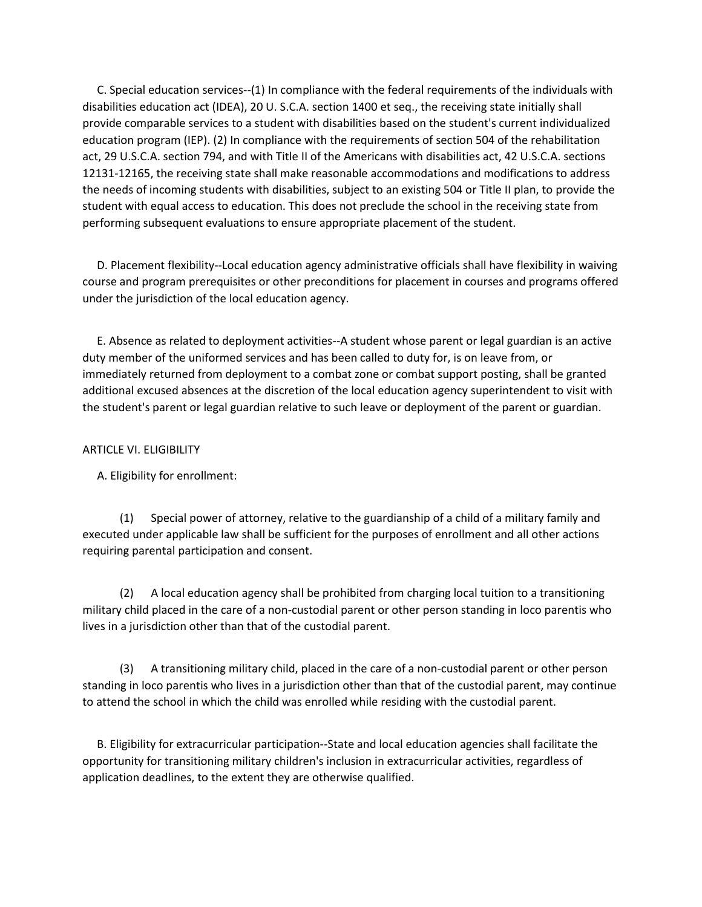C. Special education services--(1) In compliance with the federal requirements of the individuals with disabilities education act (IDEA), 20 U. S.C.A. section 1400 et seq., the receiving state initially shall provide comparable services to a student with disabilities based on the student's current individualized education program (IEP). (2) In compliance with the requirements of section 504 of the rehabilitation act, 29 U.S.C.A. section 794, and with Title II of the Americans with disabilities act, 42 U.S.C.A. sections 12131-12165, the receiving state shall make reasonable accommodations and modifications to address the needs of incoming students with disabilities, subject to an existing 504 or Title II plan, to provide the student with equal access to education. This does not preclude the school in the receiving state from performing subsequent evaluations to ensure appropriate placement of the student.

 D. Placement flexibility--Local education agency administrative officials shall have flexibility in waiving course and program prerequisites or other preconditions for placement in courses and programs offered under the jurisdiction of the local education agency.

 E. Absence as related to deployment activities--A student whose parent or legal guardian is an active duty member of the uniformed services and has been called to duty for, is on leave from, or immediately returned from deployment to a combat zone or combat support posting, shall be granted additional excused absences at the discretion of the local education agency superintendent to visit with the student's parent or legal guardian relative to such leave or deployment of the parent or guardian.

## ARTICLE VI. ELIGIBILITY

A. Eligibility for enrollment:

 (1) Special power of attorney, relative to the guardianship of a child of a military family and executed under applicable law shall be sufficient for the purposes of enrollment and all other actions requiring parental participation and consent.

 (2) A local education agency shall be prohibited from charging local tuition to a transitioning military child placed in the care of a non-custodial parent or other person standing in loco parentis who lives in a jurisdiction other than that of the custodial parent.

 (3) A transitioning military child, placed in the care of a non-custodial parent or other person standing in loco parentis who lives in a jurisdiction other than that of the custodial parent, may continue to attend the school in which the child was enrolled while residing with the custodial parent.

 B. Eligibility for extracurricular participation--State and local education agencies shall facilitate the opportunity for transitioning military children's inclusion in extracurricular activities, regardless of application deadlines, to the extent they are otherwise qualified.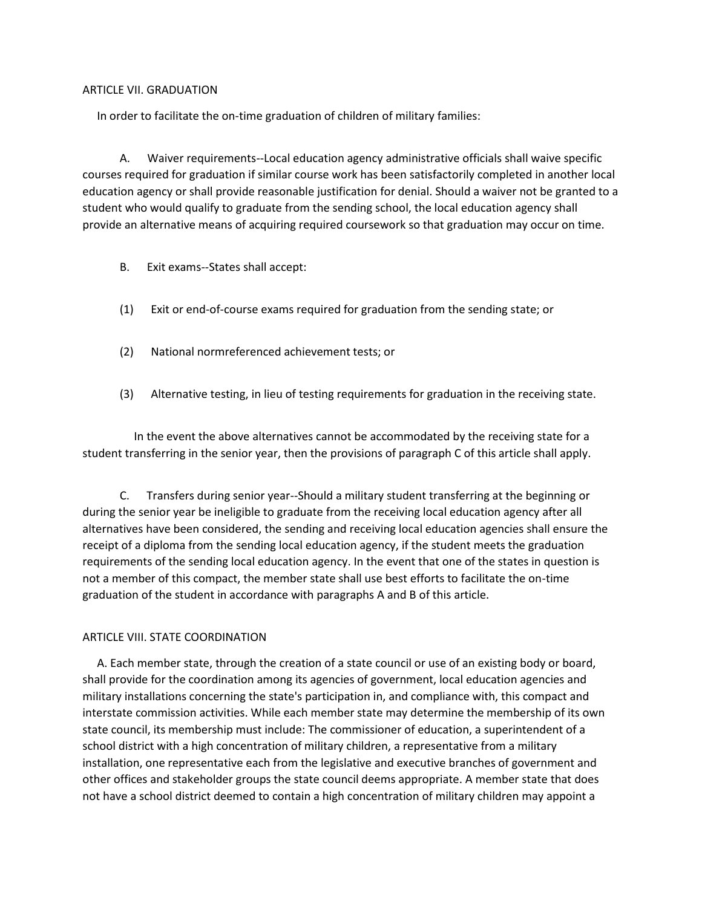### ARTICLE VII. GRADUATION

In order to facilitate the on-time graduation of children of military families:

 A. Waiver requirements--Local education agency administrative officials shall waive specific courses required for graduation if similar course work has been satisfactorily completed in another local education agency or shall provide reasonable justification for denial. Should a waiver not be granted to a student who would qualify to graduate from the sending school, the local education agency shall provide an alternative means of acquiring required coursework so that graduation may occur on time.

- B. Exit exams--States shall accept:
- (1) Exit or end-of-course exams required for graduation from the sending state; or
- (2) National normreferenced achievement tests; or
- (3) Alternative testing, in lieu of testing requirements for graduation in the receiving state.

 In the event the above alternatives cannot be accommodated by the receiving state for a student transferring in the senior year, then the provisions of paragraph C of this article shall apply.

 C. Transfers during senior year--Should a military student transferring at the beginning or during the senior year be ineligible to graduate from the receiving local education agency after all alternatives have been considered, the sending and receiving local education agencies shall ensure the receipt of a diploma from the sending local education agency, if the student meets the graduation requirements of the sending local education agency. In the event that one of the states in question is not a member of this compact, the member state shall use best efforts to facilitate the on-time graduation of the student in accordance with paragraphs A and B of this article.

## ARTICLE VIII. STATE COORDINATION

 A. Each member state, through the creation of a state council or use of an existing body or board, shall provide for the coordination among its agencies of government, local education agencies and military installations concerning the state's participation in, and compliance with, this compact and interstate commission activities. While each member state may determine the membership of its own state council, its membership must include: The commissioner of education, a superintendent of a school district with a high concentration of military children, a representative from a military installation, one representative each from the legislative and executive branches of government and other offices and stakeholder groups the state council deems appropriate. A member state that does not have a school district deemed to contain a high concentration of military children may appoint a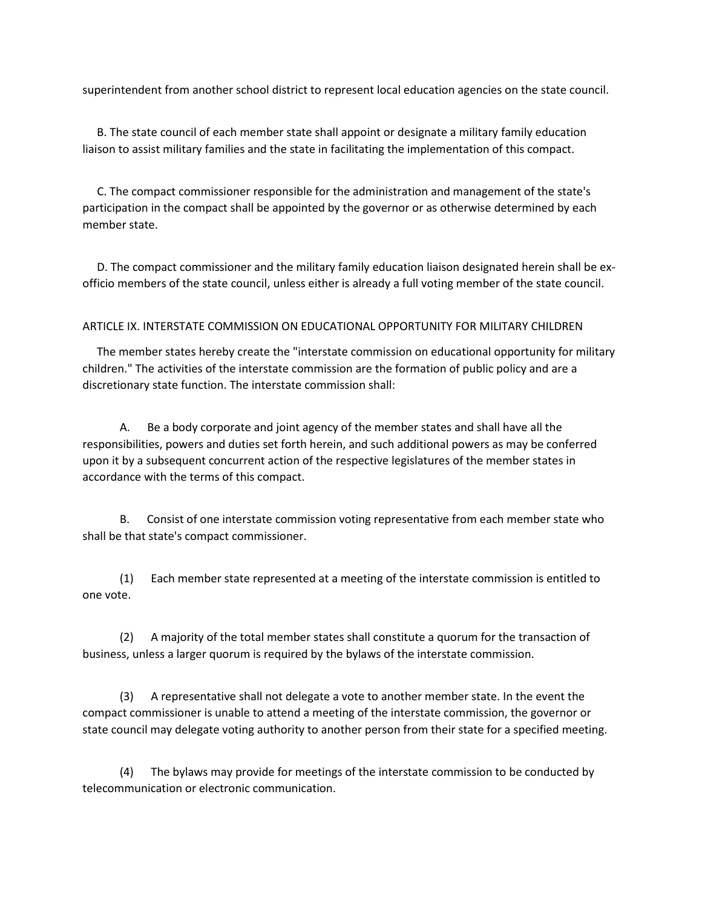superintendent from another school district to represent local education agencies on the state council.

 B. The state council of each member state shall appoint or designate a military family education liaison to assist military families and the state in facilitating the implementation of this compact.

 C. The compact commissioner responsible for the administration and management of the state's participation in the compact shall be appointed by the governor or as otherwise determined by each member state.

 D. The compact commissioner and the military family education liaison designated herein shall be exofficio members of the state council, unless either is already a full voting member of the state council.

#### ARTICLE IX. INTERSTATE COMMISSION ON EDUCATIONAL OPPORTUNITY FOR MILITARY CHILDREN

 The member states hereby create the "interstate commission on educational opportunity for military children." The activities of the interstate commission are the formation of public policy and are a discretionary state function. The interstate commission shall:

 A. Be a body corporate and joint agency of the member states and shall have all the responsibilities, powers and duties set forth herein, and such additional powers as may be conferred upon it by a subsequent concurrent action of the respective legislatures of the member states in accordance with the terms of this compact.

 B. Consist of one interstate commission voting representative from each member state who shall be that state's compact commissioner.

 (1) Each member state represented at a meeting of the interstate commission is entitled to one vote.

 (2) A majority of the total member states shall constitute a quorum for the transaction of business, unless a larger quorum is required by the bylaws of the interstate commission.

 (3) A representative shall not delegate a vote to another member state. In the event the compact commissioner is unable to attend a meeting of the interstate commission, the governor or state council may delegate voting authority to another person from their state for a specified meeting.

 (4) The bylaws may provide for meetings of the interstate commission to be conducted by telecommunication or electronic communication.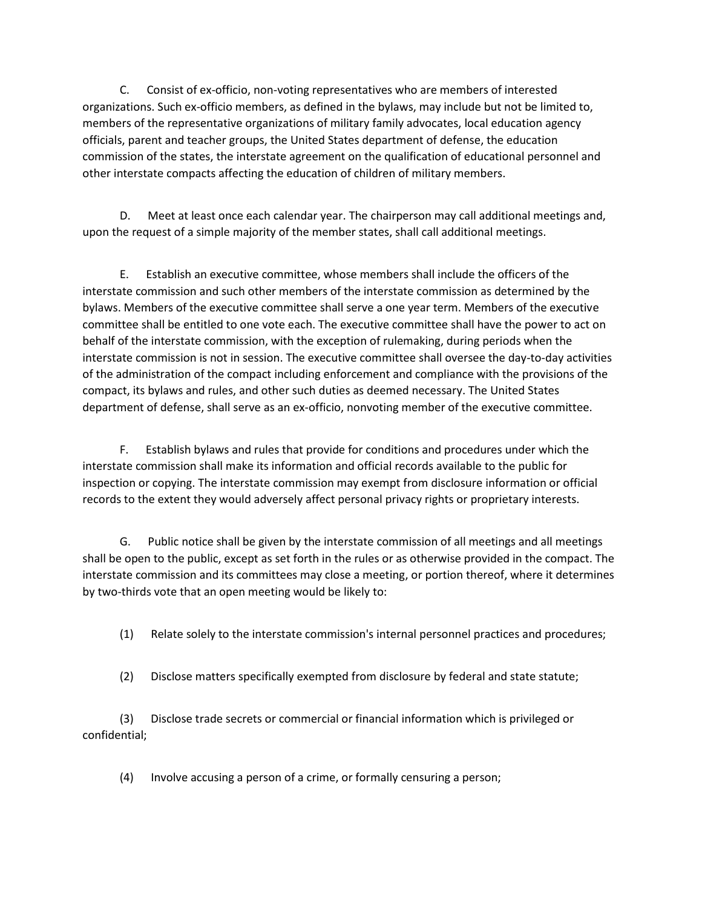C. Consist of ex-officio, non-voting representatives who are members of interested organizations. Such ex-officio members, as defined in the bylaws, may include but not be limited to, members of the representative organizations of military family advocates, local education agency officials, parent and teacher groups, the United States department of defense, the education commission of the states, the interstate agreement on the qualification of educational personnel and other interstate compacts affecting the education of children of military members.

 D. Meet at least once each calendar year. The chairperson may call additional meetings and, upon the request of a simple majority of the member states, shall call additional meetings.

 E. Establish an executive committee, whose members shall include the officers of the interstate commission and such other members of the interstate commission as determined by the bylaws. Members of the executive committee shall serve a one year term. Members of the executive committee shall be entitled to one vote each. The executive committee shall have the power to act on behalf of the interstate commission, with the exception of rulemaking, during periods when the interstate commission is not in session. The executive committee shall oversee the day-to-day activities of the administration of the compact including enforcement and compliance with the provisions of the compact, its bylaws and rules, and other such duties as deemed necessary. The United States department of defense, shall serve as an ex-officio, nonvoting member of the executive committee.

 F. Establish bylaws and rules that provide for conditions and procedures under which the interstate commission shall make its information and official records available to the public for inspection or copying. The interstate commission may exempt from disclosure information or official records to the extent they would adversely affect personal privacy rights or proprietary interests.

 G. Public notice shall be given by the interstate commission of all meetings and all meetings shall be open to the public, except as set forth in the rules or as otherwise provided in the compact. The interstate commission and its committees may close a meeting, or portion thereof, where it determines by two-thirds vote that an open meeting would be likely to:

(1) Relate solely to the interstate commission's internal personnel practices and procedures;

(2) Disclose matters specifically exempted from disclosure by federal and state statute;

 (3) Disclose trade secrets or commercial or financial information which is privileged or confidential;

(4) Involve accusing a person of a crime, or formally censuring a person;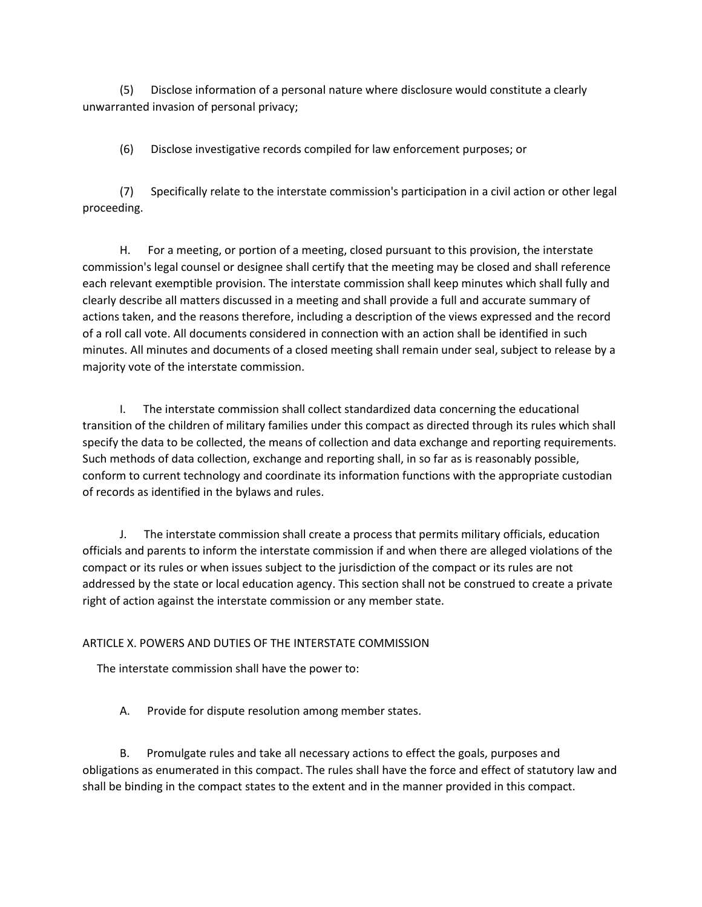(5) Disclose information of a personal nature where disclosure would constitute a clearly unwarranted invasion of personal privacy;

(6) Disclose investigative records compiled for law enforcement purposes; or

 (7) Specifically relate to the interstate commission's participation in a civil action or other legal proceeding.

 H. For a meeting, or portion of a meeting, closed pursuant to this provision, the interstate commission's legal counsel or designee shall certify that the meeting may be closed and shall reference each relevant exemptible provision. The interstate commission shall keep minutes which shall fully and clearly describe all matters discussed in a meeting and shall provide a full and accurate summary of actions taken, and the reasons therefore, including a description of the views expressed and the record of a roll call vote. All documents considered in connection with an action shall be identified in such minutes. All minutes and documents of a closed meeting shall remain under seal, subject to release by a majority vote of the interstate commission.

 I. The interstate commission shall collect standardized data concerning the educational transition of the children of military families under this compact as directed through its rules which shall specify the data to be collected, the means of collection and data exchange and reporting requirements. Such methods of data collection, exchange and reporting shall, in so far as is reasonably possible, conform to current technology and coordinate its information functions with the appropriate custodian of records as identified in the bylaws and rules.

 J. The interstate commission shall create a process that permits military officials, education officials and parents to inform the interstate commission if and when there are alleged violations of the compact or its rules or when issues subject to the jurisdiction of the compact or its rules are not addressed by the state or local education agency. This section shall not be construed to create a private right of action against the interstate commission or any member state.

# ARTICLE X. POWERS AND DUTIES OF THE INTERSTATE COMMISSION

The interstate commission shall have the power to:

A. Provide for dispute resolution among member states.

 B. Promulgate rules and take all necessary actions to effect the goals, purposes and obligations as enumerated in this compact. The rules shall have the force and effect of statutory law and shall be binding in the compact states to the extent and in the manner provided in this compact.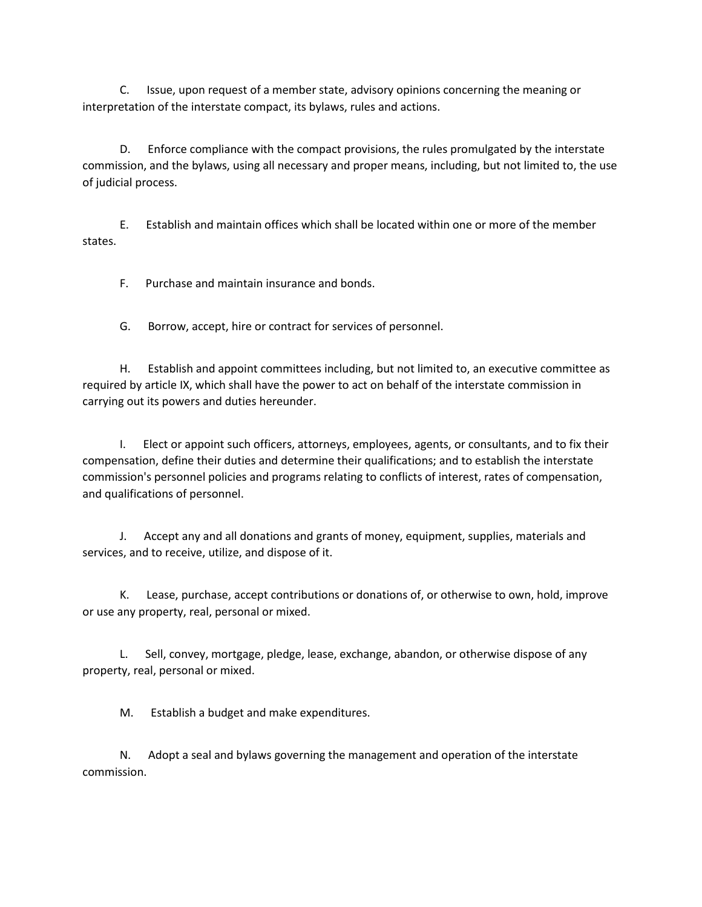C. Issue, upon request of a member state, advisory opinions concerning the meaning or interpretation of the interstate compact, its bylaws, rules and actions.

 D. Enforce compliance with the compact provisions, the rules promulgated by the interstate commission, and the bylaws, using all necessary and proper means, including, but not limited to, the use of judicial process.

 E. Establish and maintain offices which shall be located within one or more of the member states.

F. Purchase and maintain insurance and bonds.

G. Borrow, accept, hire or contract for services of personnel.

 H. Establish and appoint committees including, but not limited to, an executive committee as required by article IX, which shall have the power to act on behalf of the interstate commission in carrying out its powers and duties hereunder.

 I. Elect or appoint such officers, attorneys, employees, agents, or consultants, and to fix their compensation, define their duties and determine their qualifications; and to establish the interstate commission's personnel policies and programs relating to conflicts of interest, rates of compensation, and qualifications of personnel.

 J. Accept any and all donations and grants of money, equipment, supplies, materials and services, and to receive, utilize, and dispose of it.

 K. Lease, purchase, accept contributions or donations of, or otherwise to own, hold, improve or use any property, real, personal or mixed.

 L. Sell, convey, mortgage, pledge, lease, exchange, abandon, or otherwise dispose of any property, real, personal or mixed.

M. Establish a budget and make expenditures.

 N. Adopt a seal and bylaws governing the management and operation of the interstate commission.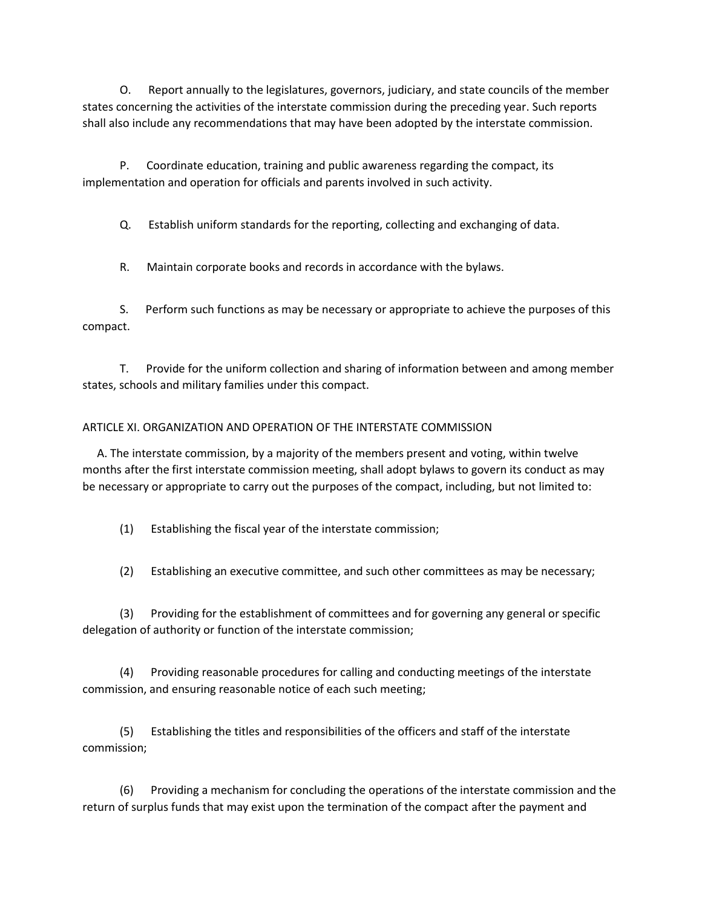O. Report annually to the legislatures, governors, judiciary, and state councils of the member states concerning the activities of the interstate commission during the preceding year. Such reports shall also include any recommendations that may have been adopted by the interstate commission.

 P. Coordinate education, training and public awareness regarding the compact, its implementation and operation for officials and parents involved in such activity.

Q. Establish uniform standards for the reporting, collecting and exchanging of data.

R. Maintain corporate books and records in accordance with the bylaws.

 S. Perform such functions as may be necessary or appropriate to achieve the purposes of this compact.

 T. Provide for the uniform collection and sharing of information between and among member states, schools and military families under this compact.

# ARTICLE XI. ORGANIZATION AND OPERATION OF THE INTERSTATE COMMISSION

 A. The interstate commission, by a majority of the members present and voting, within twelve months after the first interstate commission meeting, shall adopt bylaws to govern its conduct as may be necessary or appropriate to carry out the purposes of the compact, including, but not limited to:

(1) Establishing the fiscal year of the interstate commission;

(2) Establishing an executive committee, and such other committees as may be necessary;

 (3) Providing for the establishment of committees and for governing any general or specific delegation of authority or function of the interstate commission;

 (4) Providing reasonable procedures for calling and conducting meetings of the interstate commission, and ensuring reasonable notice of each such meeting;

 (5) Establishing the titles and responsibilities of the officers and staff of the interstate commission;

 (6) Providing a mechanism for concluding the operations of the interstate commission and the return of surplus funds that may exist upon the termination of the compact after the payment and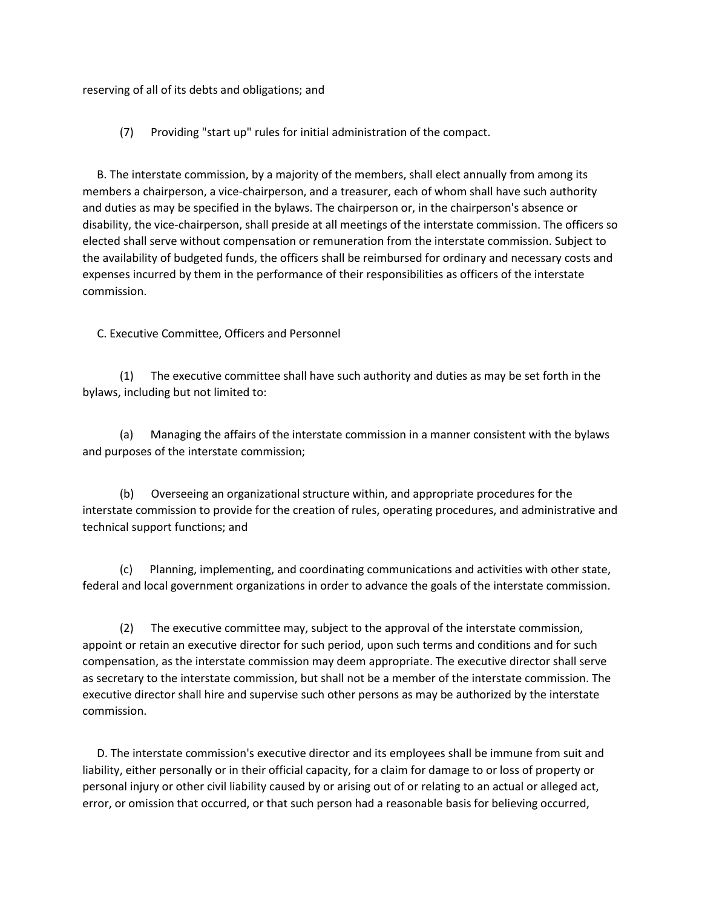reserving of all of its debts and obligations; and

(7) Providing "start up" rules for initial administration of the compact.

 B. The interstate commission, by a majority of the members, shall elect annually from among its members a chairperson, a vice-chairperson, and a treasurer, each of whom shall have such authority and duties as may be specified in the bylaws. The chairperson or, in the chairperson's absence or disability, the vice-chairperson, shall preside at all meetings of the interstate commission. The officers so elected shall serve without compensation or remuneration from the interstate commission. Subject to the availability of budgeted funds, the officers shall be reimbursed for ordinary and necessary costs and expenses incurred by them in the performance of their responsibilities as officers of the interstate commission.

C. Executive Committee, Officers and Personnel

 (1) The executive committee shall have such authority and duties as may be set forth in the bylaws, including but not limited to:

 (a) Managing the affairs of the interstate commission in a manner consistent with the bylaws and purposes of the interstate commission;

 (b) Overseeing an organizational structure within, and appropriate procedures for the interstate commission to provide for the creation of rules, operating procedures, and administrative and technical support functions; and

 (c) Planning, implementing, and coordinating communications and activities with other state, federal and local government organizations in order to advance the goals of the interstate commission.

 (2) The executive committee may, subject to the approval of the interstate commission, appoint or retain an executive director for such period, upon such terms and conditions and for such compensation, as the interstate commission may deem appropriate. The executive director shall serve as secretary to the interstate commission, but shall not be a member of the interstate commission. The executive director shall hire and supervise such other persons as may be authorized by the interstate commission.

 D. The interstate commission's executive director and its employees shall be immune from suit and liability, either personally or in their official capacity, for a claim for damage to or loss of property or personal injury or other civil liability caused by or arising out of or relating to an actual or alleged act, error, or omission that occurred, or that such person had a reasonable basis for believing occurred,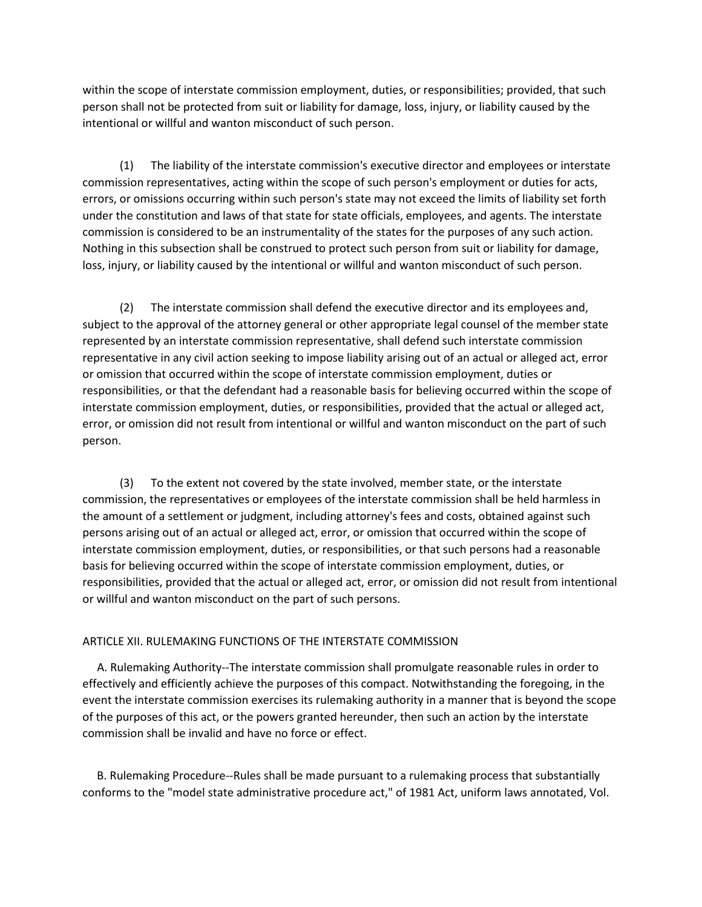within the scope of interstate commission employment, duties, or responsibilities; provided, that such person shall not be protected from suit or liability for damage, loss, injury, or liability caused by the intentional or willful and wanton misconduct of such person.

 (1) The liability of the interstate commission's executive director and employees or interstate commission representatives, acting within the scope of such person's employment or duties for acts, errors, or omissions occurring within such person's state may not exceed the limits of liability set forth under the constitution and laws of that state for state officials, employees, and agents. The interstate commission is considered to be an instrumentality of the states for the purposes of any such action. Nothing in this subsection shall be construed to protect such person from suit or liability for damage, loss, injury, or liability caused by the intentional or willful and wanton misconduct of such person.

 (2) The interstate commission shall defend the executive director and its employees and, subject to the approval of the attorney general or other appropriate legal counsel of the member state represented by an interstate commission representative, shall defend such interstate commission representative in any civil action seeking to impose liability arising out of an actual or alleged act, error or omission that occurred within the scope of interstate commission employment, duties or responsibilities, or that the defendant had a reasonable basis for believing occurred within the scope of interstate commission employment, duties, or responsibilities, provided that the actual or alleged act, error, or omission did not result from intentional or willful and wanton misconduct on the part of such person.

 (3) To the extent not covered by the state involved, member state, or the interstate commission, the representatives or employees of the interstate commission shall be held harmless in the amount of a settlement or judgment, including attorney's fees and costs, obtained against such persons arising out of an actual or alleged act, error, or omission that occurred within the scope of interstate commission employment, duties, or responsibilities, or that such persons had a reasonable basis for believing occurred within the scope of interstate commission employment, duties, or responsibilities, provided that the actual or alleged act, error, or omission did not result from intentional or willful and wanton misconduct on the part of such persons.

## ARTICLE XII. RULEMAKING FUNCTIONS OF THE INTERSTATE COMMISSION

 A. Rulemaking Authority--The interstate commission shall promulgate reasonable rules in order to effectively and efficiently achieve the purposes of this compact. Notwithstanding the foregoing, in the event the interstate commission exercises its rulemaking authority in a manner that is beyond the scope of the purposes of this act, or the powers granted hereunder, then such an action by the interstate commission shall be invalid and have no force or effect.

 B. Rulemaking Procedure--Rules shall be made pursuant to a rulemaking process that substantially conforms to the "model state administrative procedure act," of 1981 Act, uniform laws annotated, Vol.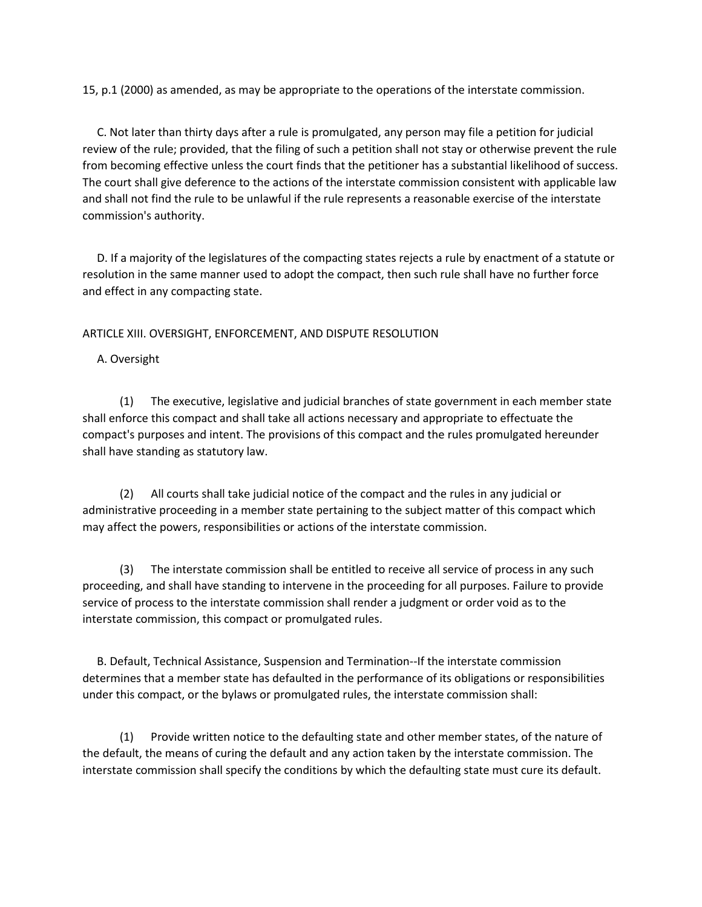15, p.1 (2000) as amended, as may be appropriate to the operations of the interstate commission.

 C. Not later than thirty days after a rule is promulgated, any person may file a petition for judicial review of the rule; provided, that the filing of such a petition shall not stay or otherwise prevent the rule from becoming effective unless the court finds that the petitioner has a substantial likelihood of success. The court shall give deference to the actions of the interstate commission consistent with applicable law and shall not find the rule to be unlawful if the rule represents a reasonable exercise of the interstate commission's authority.

 D. If a majority of the legislatures of the compacting states rejects a rule by enactment of a statute or resolution in the same manner used to adopt the compact, then such rule shall have no further force and effect in any compacting state.

# ARTICLE XIII. OVERSIGHT, ENFORCEMENT, AND DISPUTE RESOLUTION

A. Oversight

 (1) The executive, legislative and judicial branches of state government in each member state shall enforce this compact and shall take all actions necessary and appropriate to effectuate the compact's purposes and intent. The provisions of this compact and the rules promulgated hereunder shall have standing as statutory law.

 (2) All courts shall take judicial notice of the compact and the rules in any judicial or administrative proceeding in a member state pertaining to the subject matter of this compact which may affect the powers, responsibilities or actions of the interstate commission.

 (3) The interstate commission shall be entitled to receive all service of process in any such proceeding, and shall have standing to intervene in the proceeding for all purposes. Failure to provide service of process to the interstate commission shall render a judgment or order void as to the interstate commission, this compact or promulgated rules.

 B. Default, Technical Assistance, Suspension and Termination--If the interstate commission determines that a member state has defaulted in the performance of its obligations or responsibilities under this compact, or the bylaws or promulgated rules, the interstate commission shall:

 (1) Provide written notice to the defaulting state and other member states, of the nature of the default, the means of curing the default and any action taken by the interstate commission. The interstate commission shall specify the conditions by which the defaulting state must cure its default.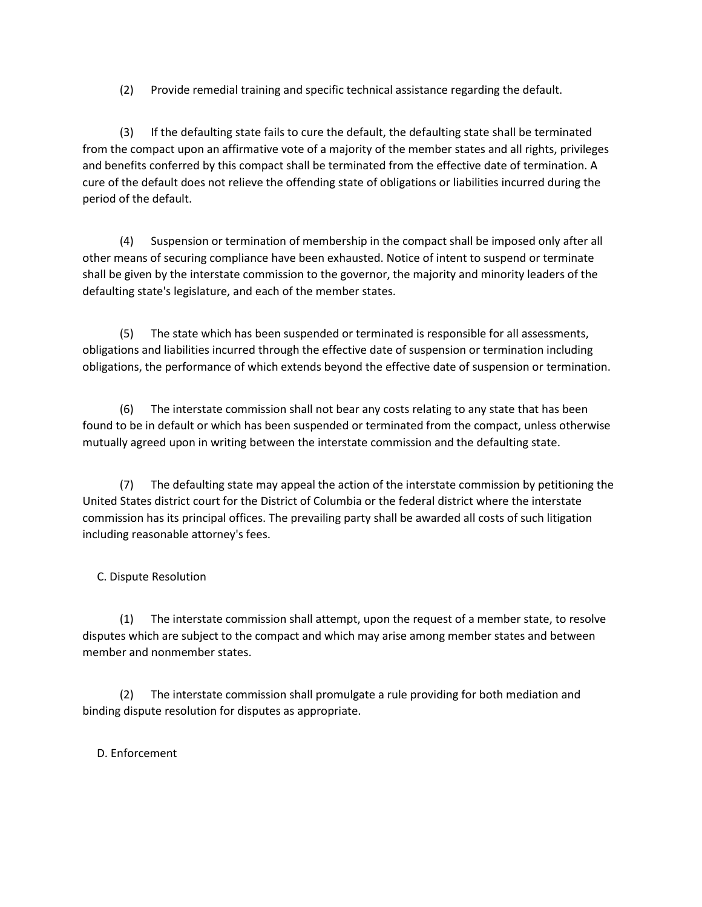(2) Provide remedial training and specific technical assistance regarding the default.

 (3) If the defaulting state fails to cure the default, the defaulting state shall be terminated from the compact upon an affirmative vote of a majority of the member states and all rights, privileges and benefits conferred by this compact shall be terminated from the effective date of termination. A cure of the default does not relieve the offending state of obligations or liabilities incurred during the period of the default.

 (4) Suspension or termination of membership in the compact shall be imposed only after all other means of securing compliance have been exhausted. Notice of intent to suspend or terminate shall be given by the interstate commission to the governor, the majority and minority leaders of the defaulting state's legislature, and each of the member states.

 (5) The state which has been suspended or terminated is responsible for all assessments, obligations and liabilities incurred through the effective date of suspension or termination including obligations, the performance of which extends beyond the effective date of suspension or termination.

 (6) The interstate commission shall not bear any costs relating to any state that has been found to be in default or which has been suspended or terminated from the compact, unless otherwise mutually agreed upon in writing between the interstate commission and the defaulting state.

 (7) The defaulting state may appeal the action of the interstate commission by petitioning the United States district court for the District of Columbia or the federal district where the interstate commission has its principal offices. The prevailing party shall be awarded all costs of such litigation including reasonable attorney's fees.

C. Dispute Resolution

 (1) The interstate commission shall attempt, upon the request of a member state, to resolve disputes which are subject to the compact and which may arise among member states and between member and nonmember states.

 (2) The interstate commission shall promulgate a rule providing for both mediation and binding dispute resolution for disputes as appropriate.

D. Enforcement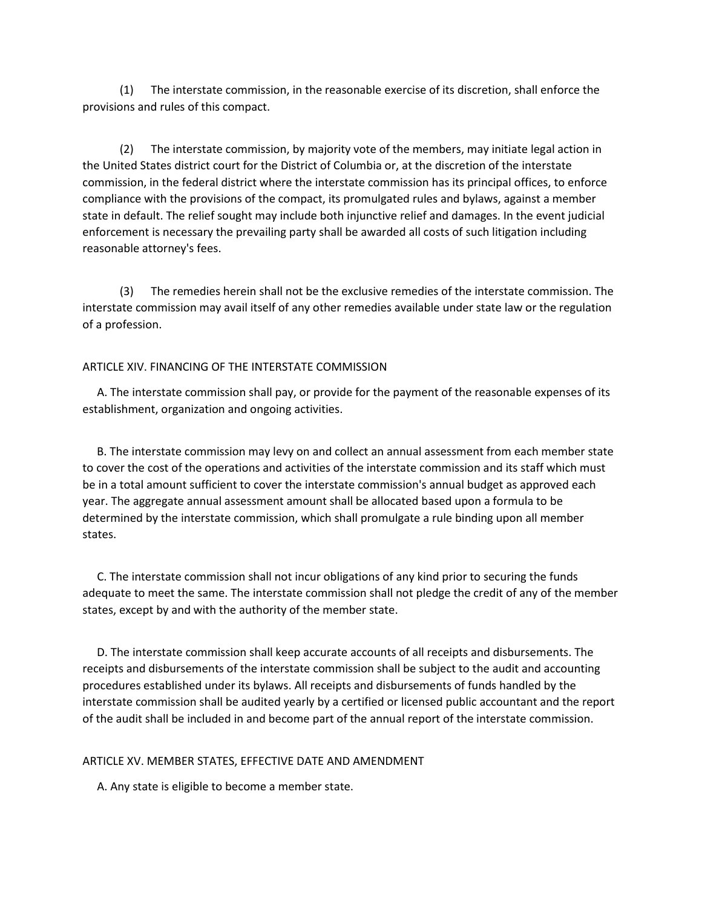(1) The interstate commission, in the reasonable exercise of its discretion, shall enforce the provisions and rules of this compact.

 (2) The interstate commission, by majority vote of the members, may initiate legal action in the United States district court for the District of Columbia or, at the discretion of the interstate commission, in the federal district where the interstate commission has its principal offices, to enforce compliance with the provisions of the compact, its promulgated rules and bylaws, against a member state in default. The relief sought may include both injunctive relief and damages. In the event judicial enforcement is necessary the prevailing party shall be awarded all costs of such litigation including reasonable attorney's fees.

 (3) The remedies herein shall not be the exclusive remedies of the interstate commission. The interstate commission may avail itself of any other remedies available under state law or the regulation of a profession.

#### ARTICLE XIV. FINANCING OF THE INTERSTATE COMMISSION

 A. The interstate commission shall pay, or provide for the payment of the reasonable expenses of its establishment, organization and ongoing activities.

 B. The interstate commission may levy on and collect an annual assessment from each member state to cover the cost of the operations and activities of the interstate commission and its staff which must be in a total amount sufficient to cover the interstate commission's annual budget as approved each year. The aggregate annual assessment amount shall be allocated based upon a formula to be determined by the interstate commission, which shall promulgate a rule binding upon all member states.

 C. The interstate commission shall not incur obligations of any kind prior to securing the funds adequate to meet the same. The interstate commission shall not pledge the credit of any of the member states, except by and with the authority of the member state.

 D. The interstate commission shall keep accurate accounts of all receipts and disbursements. The receipts and disbursements of the interstate commission shall be subject to the audit and accounting procedures established under its bylaws. All receipts and disbursements of funds handled by the interstate commission shall be audited yearly by a certified or licensed public accountant and the report of the audit shall be included in and become part of the annual report of the interstate commission.

#### ARTICLE XV. MEMBER STATES, EFFECTIVE DATE AND AMENDMENT

A. Any state is eligible to become a member state.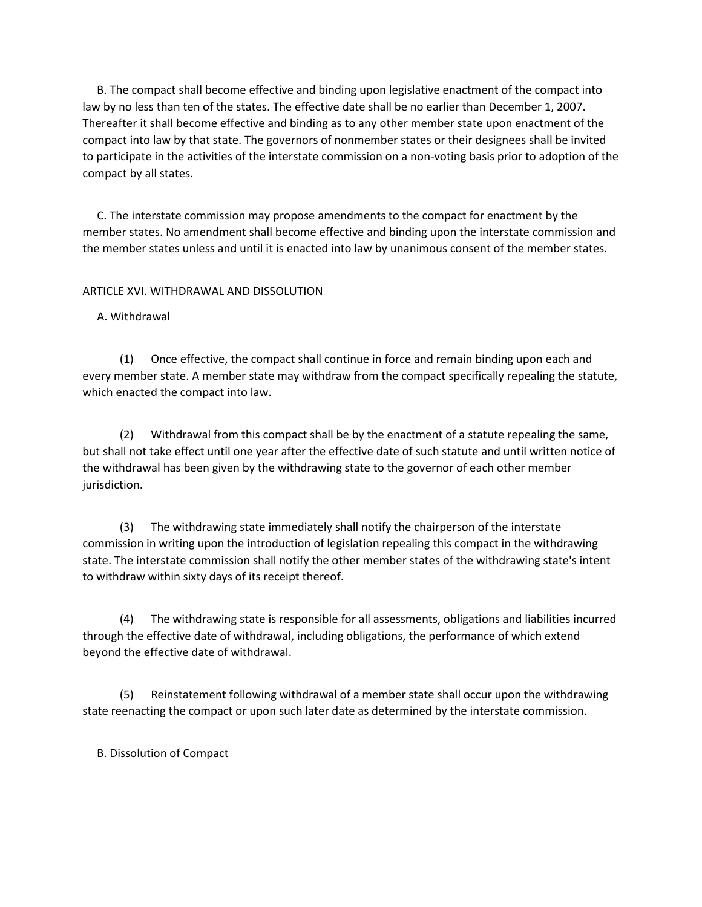B. The compact shall become effective and binding upon legislative enactment of the compact into law by no less than ten of the states. The effective date shall be no earlier than December 1, 2007. Thereafter it shall become effective and binding as to any other member state upon enactment of the compact into law by that state. The governors of nonmember states or their designees shall be invited to participate in the activities of the interstate commission on a non-voting basis prior to adoption of the compact by all states.

 C. The interstate commission may propose amendments to the compact for enactment by the member states. No amendment shall become effective and binding upon the interstate commission and the member states unless and until it is enacted into law by unanimous consent of the member states.

# ARTICLE XVI. WITHDRAWAL AND DISSOLUTION

# A. Withdrawal

 (1) Once effective, the compact shall continue in force and remain binding upon each and every member state. A member state may withdraw from the compact specifically repealing the statute, which enacted the compact into law.

 (2) Withdrawal from this compact shall be by the enactment of a statute repealing the same, but shall not take effect until one year after the effective date of such statute and until written notice of the withdrawal has been given by the withdrawing state to the governor of each other member jurisdiction.

 (3) The withdrawing state immediately shall notify the chairperson of the interstate commission in writing upon the introduction of legislation repealing this compact in the withdrawing state. The interstate commission shall notify the other member states of the withdrawing state's intent to withdraw within sixty days of its receipt thereof.

 (4) The withdrawing state is responsible for all assessments, obligations and liabilities incurred through the effective date of withdrawal, including obligations, the performance of which extend beyond the effective date of withdrawal.

 (5) Reinstatement following withdrawal of a member state shall occur upon the withdrawing state reenacting the compact or upon such later date as determined by the interstate commission.

B. Dissolution of Compact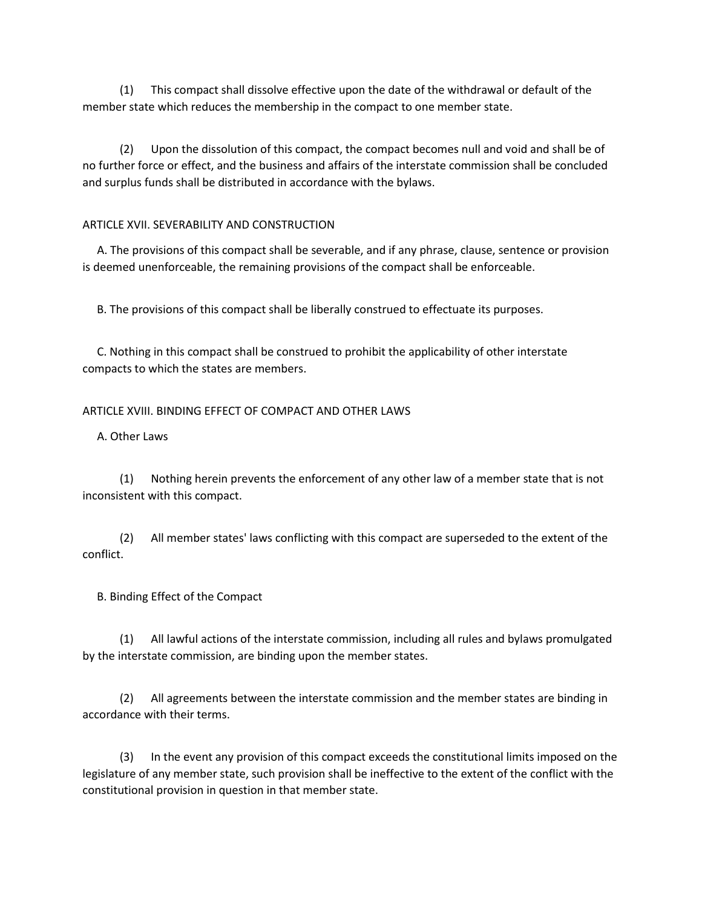(1) This compact shall dissolve effective upon the date of the withdrawal or default of the member state which reduces the membership in the compact to one member state.

 (2) Upon the dissolution of this compact, the compact becomes null and void and shall be of no further force or effect, and the business and affairs of the interstate commission shall be concluded and surplus funds shall be distributed in accordance with the bylaws.

## ARTICLE XVII. SEVERABILITY AND CONSTRUCTION

 A. The provisions of this compact shall be severable, and if any phrase, clause, sentence or provision is deemed unenforceable, the remaining provisions of the compact shall be enforceable.

B. The provisions of this compact shall be liberally construed to effectuate its purposes.

 C. Nothing in this compact shall be construed to prohibit the applicability of other interstate compacts to which the states are members.

## ARTICLE XVIII. BINDING EFFECT OF COMPACT AND OTHER LAWS

A. Other Laws

 (1) Nothing herein prevents the enforcement of any other law of a member state that is not inconsistent with this compact.

 (2) All member states' laws conflicting with this compact are superseded to the extent of the conflict.

#### B. Binding Effect of the Compact

 (1) All lawful actions of the interstate commission, including all rules and bylaws promulgated by the interstate commission, are binding upon the member states.

 (2) All agreements between the interstate commission and the member states are binding in accordance with their terms.

 (3) In the event any provision of this compact exceeds the constitutional limits imposed on the legislature of any member state, such provision shall be ineffective to the extent of the conflict with the constitutional provision in question in that member state.